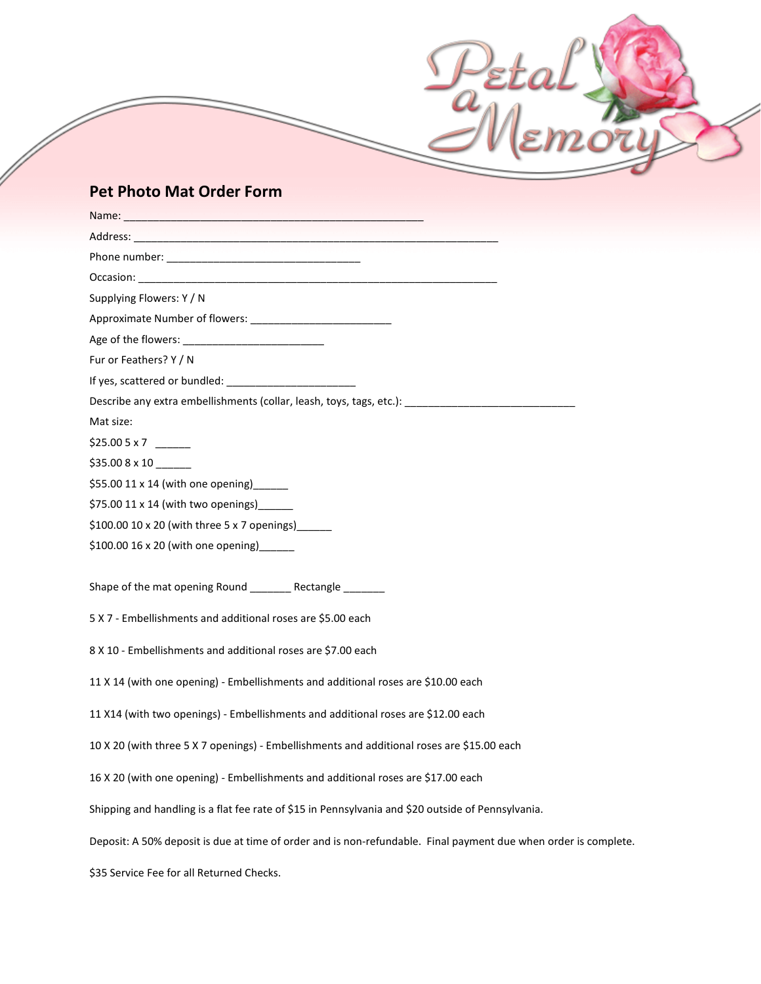## **Pet Photo Mat Order Form**

| Supplying Flowers: Y / N                                                                                        |
|-----------------------------------------------------------------------------------------------------------------|
|                                                                                                                 |
|                                                                                                                 |
| Fur or Feathers? Y / N                                                                                          |
|                                                                                                                 |
| Describe any extra embellishments (collar, leash, toys, tags, etc.): ______________________________             |
| Mat size:                                                                                                       |
|                                                                                                                 |
| $$35.008 \times 10$                                                                                             |
| \$55.00 11 x 14 (with one opening) ______                                                                       |
| \$75.00 11 x 14 (with two openings) [100]                                                                       |
| \$100.00 10 x 20 (with three 5 x 7 openings) ____                                                               |
| \$100.00 16 x 20 (with one opening) ______                                                                      |
|                                                                                                                 |
| Shape of the mat opening Round ________ Rectangle _______                                                       |
| 5 X 7 - Embellishments and additional roses are \$5.00 each                                                     |
| 8 X 10 - Embellishments and additional roses are \$7.00 each                                                    |
| 11 X 14 (with one opening) - Embellishments and additional roses are \$10.00 each                               |
| 11 X14 (with two openings) - Embellishments and additional roses are \$12.00 each                               |
| 10 X 20 (with three 5 X 7 openings) - Embellishments and additional roses are \$15.00 each                      |
| 16 X 20 (with one opening) - Embellishments and additional roses are \$17.00 each                               |
| Shipping and handling is a flat fee rate of \$15 in Pennsylvania and \$20 outside of Pennsylvania.              |
| Deposit: A 50% deposit is due at time of order and is non-refundable. Final payment due when order is complete. |
| \$35 Service Fee for all Returned Checks.                                                                       |

Pete